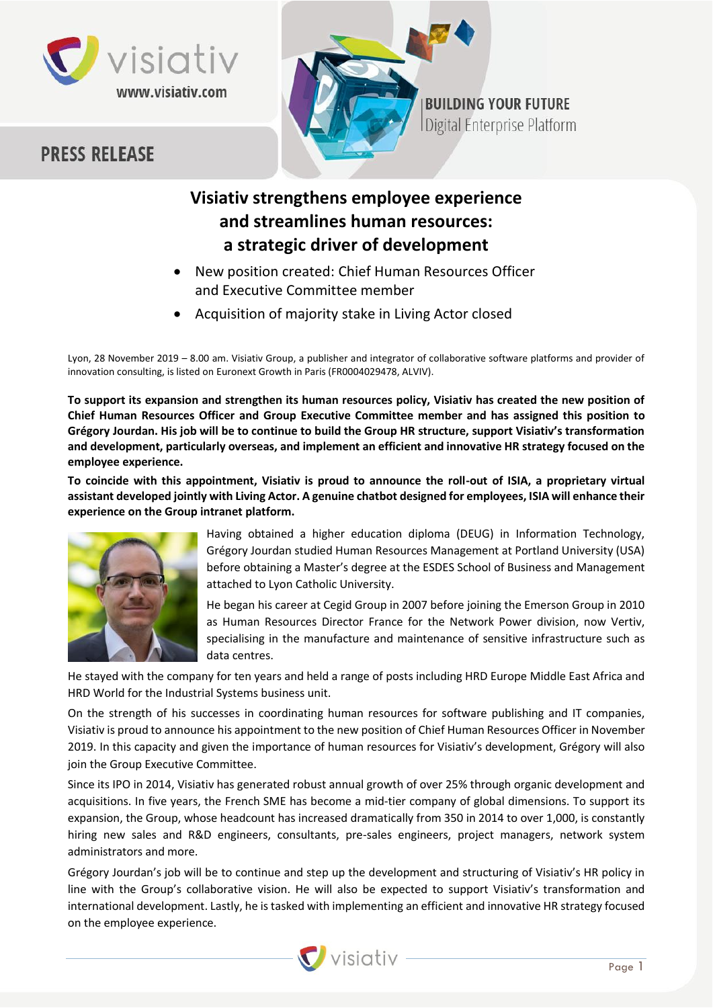



# **BUILDING YOUR FUTURE** Digital Enterprise Platform

# **Visiativ strengthens employee experience and streamlines human resources: a strategic driver of development**

- New position created: Chief Human Resources Officer and Executive Committee member
- Acquisition of majority stake in Living Actor closed

Lyon, 28 November 2019 – 8.00 am. Visiativ Group, a publisher and integrator of collaborative software platforms and provider of innovation consulting, is listed on Euronext Growth in Paris (FR0004029478, ALVIV).

**To support its expansion and strengthen its human resources policy, Visiativ has created the new position of Chief Human Resources Officer and Group Executive Committee member and has assigned this position to Grégory Jourdan. His job will be to continue to build the Group HR structure, support Visiativ's transformation and development, particularly overseas, and implement an efficient and innovative HR strategy focused on the employee experience.**

**To coincide with this appointment, Visiativ is proud to announce the roll-out of ISIA, a proprietary virtual assistant developed jointly with Living Actor. A genuine chatbot designed for employees, ISIA will enhance their experience on the Group intranet platform.**



Having obtained a higher education diploma (DEUG) in Information Technology, Grégory Jourdan studied Human Resources Management at Portland University (USA) before obtaining a Master's degree at the ESDES School of Business and Management attached to Lyon Catholic University.

He began his career at Cegid Group in 2007 before joining the Emerson Group in 2010 as Human Resources Director France for the Network Power division, now Vertiv, specialising in the manufacture and maintenance of sensitive infrastructure such as data centres.

He stayed with the company for ten years and held a range of posts including HRD Europe Middle East Africa and HRD World for the Industrial Systems business unit.

On the strength of his successes in coordinating human resources for software publishing and IT companies, Visiativ is proud to announce his appointment to the new position of Chief Human Resources Officer in November 2019. In this capacity and given the importance of human resources for Visiativ's development, Grégory will also join the Group Executive Committee.

Since its IPO in 2014, Visiativ has generated robust annual growth of over 25% through organic development and acquisitions. In five years, the French SME has become a mid-tier company of global dimensions. To support its expansion, the Group, whose headcount has increased dramatically from 350 in 2014 to over 1,000, is constantly hiring new sales and R&D engineers, consultants, pre-sales engineers, project managers, network system administrators and more.

Grégory Jourdan's job will be to continue and step up the development and structuring of Visiativ's HR policy in line with the Group's collaborative vision. He will also be expected to support Visiativ's transformation and international development. Lastly, he is tasked with implementing an efficient and innovative HR strategy focused on the employee experience.